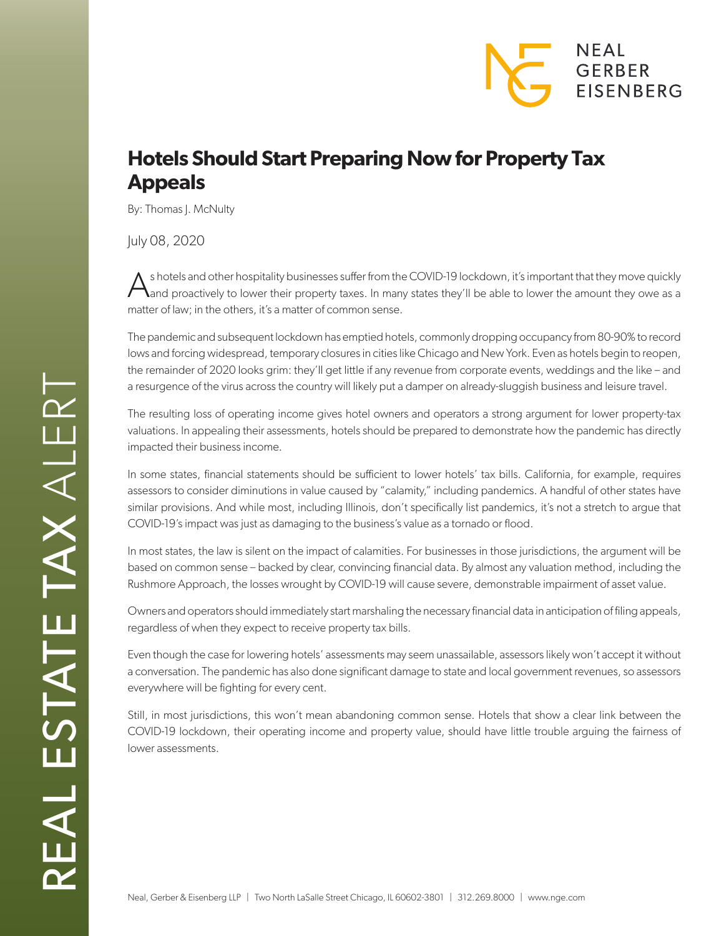## NEAL GERBER **EISENBERG**

## **Hotels Should Start Preparing Now for Property Tax Appeals**

By: Thomas J. McNulty

July 08, 2020

 $\bigwedge$  s hotels and other hospitality businesses suffer from the COVID-19 lockdown, it's important that they move quickly<br>and proactively to lower their property taxes. In many states they'll be able to lower the amount t matter of law; in the others, it's a matter of common sense.

The pandemic and subsequent lockdown has emptied hotels, commonly dropping occupancy from 80-90% to record lows and forcing widespread, temporary closures in cities like Chicago and New York. Even as hotels begin to reopen, the remainder of 2020 looks grim: they'll get little if any revenue from corporate events, weddings and the like – and a resurgence of the virus across the country will likely put a damper on already-sluggish business and leisure travel.

The resulting loss of operating income gives hotel owners and operators a strong argument for lower property-tax valuations. In appealing their assessments, hotels should be prepared to demonstrate how the pandemic has directly impacted their business income.

In some states, financial statements should be sufficient to lower hotels' tax bills. California, for example, requires assessors to consider diminutions in value caused by "calamity," including pandemics. A handful of other states have similar provisions. And while most, including Illinois, don't specifically list pandemics, it's not a stretch to argue that COVID-19's impact was just as damaging to the business's value as a tornado or flood.

In most states, the law is silent on the impact of calamities. For businesses in those jurisdictions, the argument will be based on common sense – backed by clear, convincing financial data. By almost any valuation method, including the Rushmore Approach, the losses wrought by COVID-19 will cause severe, demonstrable impairment of asset value.

Owners and operators should immediately start marshaling the necessary financial data in anticipation of filing appeals, regardless of when they expect to receive property tax bills.

Even though the case for lowering hotels' assessments may seem unassailable, assessors likely won't accept it without a conversation. The pandemic has also done significant damage to state and local government revenues, so assessors everywhere will be fighting for every cent.

Still, in most jurisdictions, this won't mean abandoning common sense. Hotels that show a clear link between the COVID-19 lockdown, their operating income and property value, should have little trouble arguing the fairness of lower assessments.